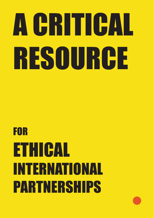# A CRITICAL RESOURCE

### FOR ETHICAL INTERNATIONAL PARTNERSHIPS

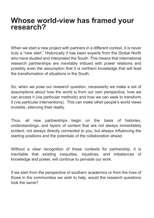### **Whose world-view has framed your research?**

When we start a new project with partners in a different context, it is never truly a "new start." Historically it has been experts from the Global North who have studied and interpreted the South. This means that international research partnerships are inevitably imbued with power relations and possibly even the assumption that it is northern knowledge that will lead the transformation of situations in the South.

So, when we pose our research question, necessarily we make a set of assumptions about how the world is from our own perspective, how we can access it (via particular methods) and how we can seek to transform it (via particular interventions). This can make other people's world views invisible, silencing their reality.

Thus, all new partnerships begin on the basis of histories, understandings, and layers of context that are not always immediately evident, not always directly connected to you, but always influencing the starting positions and the potentials of the collaboration ahead.

Without a clear recognition of these contexts for partnership, it is inevitable that existing inequities, injustices, and imbalances of knowledge and power, will continue to pervade our work.

If we start from the perspective of southern academics or from the lives of those in the communities we wish to help, would the research questions look the same?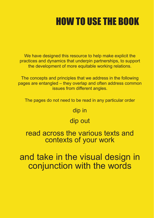### HOW TO USE THE BOOK

We have designed this resource to help make explicit the practices and dynamics that underpin partnerships, to support the development of more equitable working relations.

The concepts and principles that we address in the following pages are entangled – they overlap and often address common issues from different angles.

The pages do not need to be read in any particular order

#### dip in

#### dip out

read across the various texts and contexts of your work

and take in the visual design in conjunction with the words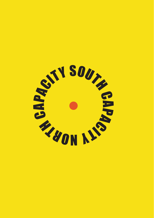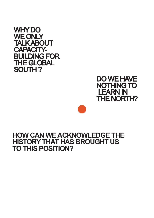WHY DO WE ONLY **TALKABOUT** CAPACITY-BUILDING FOR THE GLOBAL SOUTH ?



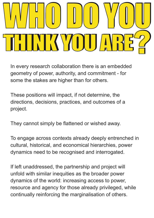

In every research collaboration there is an embedded geometry of power, authority, and commitment - for some the stakes are higher than for others.

These positions will impact, if not determine, the directions, decisions, practices, and outcomes of a project.

They cannot simply be flattened or wished away.

To engage across contexts already deeply entrenched in cultural, historical, and economical hierarchies, power dynamics need to be recognised and interrogated.

If left unaddressed, the partnership and project will unfold with similar inequities as the broader power dynamics of the world: increasing access to power, resource and agency for those already privileged, while continually reinforcing the marginalisation of others.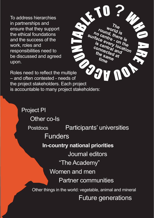To address hierarchies in partnerships and ensure that they support the ethical foundations and the success of the work, roles and responsibilities need to be discussed and agreed upon.

Roles need to reflect the multiple – and often contested - needs of the project stakeholders. Each project is accountable to many project stakeholders: **time**

> Project PI Other co-Is Postdocs Participants' universities Funders **In-country national priorities** Journal editors "The Academy" Women and men Partner communities Other things in the world: vegetable, animal and mineral Future generations

**The world is**

**round,** there is<br>tace every on the<br>is central locations **no centre - on the surface every location is central and**

**connected at the same**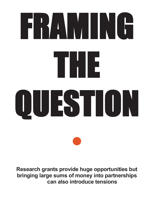# FRAMINGE THE QUESTION

**Research grants provide huge opportunities but bringing large sums of money into partnerships can also introduce tensions**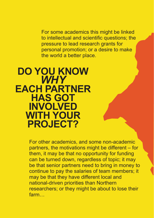For some academics this might be linked to intellectual and scientific questions; the pressure to lead research grants for personal promotion; or a desire to make the world a better place.

**DO YOU KNOW** *WHY* **EACH PARTNER HAS GOT INVOLVED WITH YOUR PROJECT?**

> For other academics, and some non-academic partners, the motivations might be different – for them, it may be that no opportunity for funding can be turned down, regardless of topic; it may be that senior partners need to bring in money to continue to pay the salaries of team members; it may be that they have different local and national-driven priorities than Northern researchers; or they might be about to lose their farm…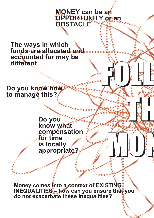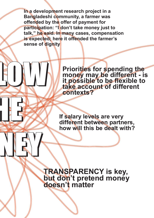**COMMUNISTIES In a development research project in a Bangladeshi community, a farmer was offended by the offer of payment for** participation: "**Edon't take money just to** talk," he said. In **ingle said.** In the many cases, compensation **is expected; here it offended the farmer's<br>sense of diginity<br>** $\begin{bmatrix} \frac{1}{2} \\ \frac{1}{2} \end{bmatrix}$ sense of dignity

FOR THE STREET WEIGHT OF THE STREET WEIGHT

THE REAL PROPERTY

**MONEY AND THE YOU WANTED TO BE THE WAY TO BE THE WAY TO BE THE WAY TO BE THE WAY .** 

**Priorities for spending the Contract Priorities money may be different - is it possible to be flexible to take account of different contexts?**

*If salary levels are very*<br>If *salary levels are very* **different between partners, how will this be dealt with?**

#### **TRANSPARENCY is key, but don't pretend money doesn't matter**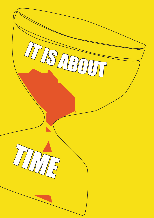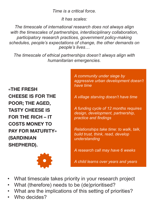*Time is a critical force.*

*It has scales:*

*The timescale of international research does not always align with the timescales of partnerships, interdisciplinary collaboration, participatory research practices, government policy-making schedules, people's expectations of change, the other demands on people's lives…*

*The timescale of ethical partnerships doesn't always align with humanitarian emergencies.*

**«THE FRESH CHEESE IS FOR THE POOR; THE AGED, TASTY CHEESE IS FOR THE RICH – IT COSTS MONEY TO PAY FOR MATURITY» (SARDINIAN SHEPHERD).**

*A community under siege by aggressive urban development doesn't have time*

*A village starving doesn't have time*

*A funding cycle of 12 months requires design, development, partnership, practice and findings*

*Relationships take time: to walk, talk, build trust, think, read, develop understanding*

*A research call may have 6 weeks*

*A child learns over years and years*

- What timescale takes priority in your research project
- What (therefore) needs to be (de)prioritised?
- What are the implications of this setting of priorities?
- Who decides?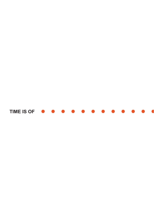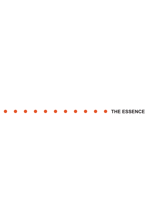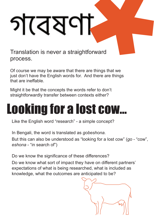## গবেষণ

Translation is never a straightforward process.

Of course we may be aware that there are things that we just don't have the English words for. And there are things that are ineffable.

Might it be that the concepts the words refer to don't straightforwardly transfer between contexts either?

### Looking for a lost cow…

Like the English word "research" - a simple concept?

In Bengali, the word is translated as *gobeshona.* But this can also be understood as "looking for a lost cow" (*go* - "cow", *eshona* - "in search of")

Do we know the significance of these differences?

Do we know what sort of impact they have on different partners' expectations of what is being researched, what is included as knowledge, what the outcomes are anticipated to be?

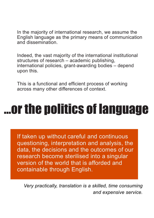In the majority of international research, we assume the English language as the primary means of communication and dissemination.

Indeed, the vast majority of the international institutional structures of research – academic publishing, international policies, grant-awarding bodies – depend upon this.

This is a functional and efficient process of working across many other differences of context.

### …or the politics of language

If taken up without careful and continuous questioning, interpretation and analysis, the data, the decisions and the outcomes of our research become sterilised into a singular version of the world that is afforded and containable through English.

*Very practically, translation is a skilled, time consuming and expensive service.*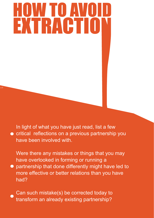# **HOW TO AVOI<br>EXTRACTIO**

In light of what you have just read, list a few • critical reflections on a previous partnership you have been involved with.

Were there any mistakes or things that you may have overlooked in forming or running a **• partnership that done differently might have led to** 

more effective or better relations than you have had?

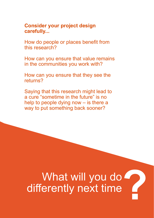#### **Consider your project design carefully...**

How do people or places benefit from this research?

How can you ensure that value remains in the communities you work with?

How can you ensure that they see the returns?

Saying that this research might lead to a cure "sometime in the future" is no help to people dying now – is there a way to put something back sooner?

# What will you do<br>differently next time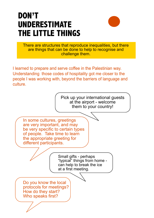### **DON'T UNDERESTIMATE THE LITTLE THINGS**



There are structures that reproduce inequalities, but there are things that can be done to help to recognise and challenge them.

I learned to prepare and serve coffee in the Palestinian way. Understanding those codes of hospitality got me closer to the people I was working with, beyond the barriers of language and culture.

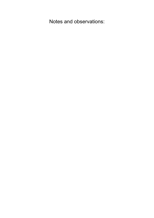Notes and observations: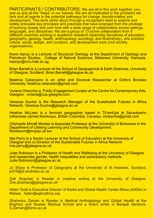PARTICIPANTS / CONTRIBUTORS: We are all in this work together, you and us and all the "theys" in our futures. We are all implicated in the problems we face and all agents in the potential pathways for change, transformation and development. This work came about through a recognised need to explore and widely articulate key principles and practices that have emerged from the privilege of working closely and over time with a wide range of collaborators across settings, languages, and disciplines. We are a group of 13 active collaborators from 8 different countries working in academic research (spanning disciplines of education, geography, geology, health, anthropology, sociology, and biodiversity), arts practice (visual, social, design, and curation), and development work (civil society organisations).

Kevin Aanyu is a Lecturer of Structural Geology at the Department of Geology and Petroleum Studies, College of Natural Sciences, Makerere University, Kampala. kaanyu@cns.mak.ac.ug

Brian Barrett is a Lecturer at the School of Geographical & Earth Sciences, University of Glasgow, Scotland. Brian.Barrett@glasgow.ac.uk

Beatrice Catanzano is an artist and Doctoral Researcher at Oxford Brookes University. beatrice.catanzaro@gmail.com

Viviana Checchia is Public Engagement Curator at the Centre for Contemporary Arts, Glasgow. viviana@cca-glasgow.com

Vanessa Duclos is the Research Manager of the Sustainable Futures in Africa Network. Vanessa.Duclos@glasgow.ac.uk

Heather McLean is a feminist geographer based in Tk'emlúps te Secwépemc (otherwise named Kamloops, British Columbia, Canada). mcleanhe@gmail.com

Oitshepile MmaB Modise is Associate Professor at the University of Botswana in the Department of Lifelong Learning and Community Development. Modiseom@mopipi.ub.bw

Mia Perry is a Senior Lecturer at the School of Education at the University of Glasgow and co-Director of the Sustainable Futures in Africa Network. mia.perry@glasgow.ac.uk

Jude Robinson is a Professor of Health and Wellbeing at the University of Glasgow and researches gender, health inequalities and participatory methods. Jude.Robinson@glasgow.ac.uk

Jo Sharp is Professor of Geography at the University of St Andrews, Scotland. js314@st-andrews.ac.uk

Zoë Strachan is Reader in creative writing at the University of Glasgow. Zoe.strachan@glasgow.ac.uk

Helen Todd is Executive Director of theArt and Global Health Center Africa (ArtGlo) in Malawi. helen@aghcafrica.org

Shahaduz Zaman is Reader in Medical Anthropology and Global Health at the Brighton and Sussex Medical School and a fiction writer in Bengali literature. S.Zaman@bsms.ac.uk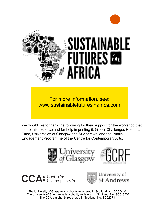

For more information, see: www.sustainablefuturesinafrica.com

We would like to thank the following for their support for the workshop that led to this resource and for help in printing it: Global Challenges Research Fund, Universities of Glasgow and St Andrews, and the Public Engagement Programme of the Centre for Contemporary Arts.









University of St Andrews

The University of Glasgow is a charity registered in Scotland, No: SC004401 The University of St Andrews is a charity registered in Scotland, No: SC013532 The CCA is a charity registered in Scotland, No: SC020734